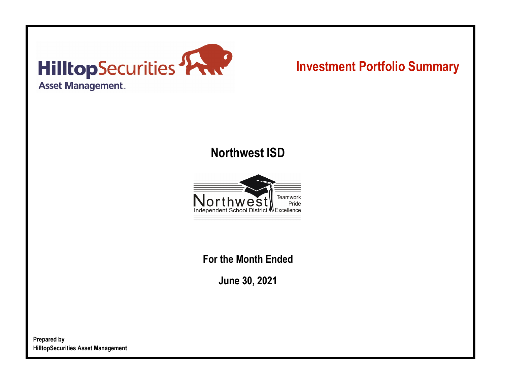

# **Investment Portfolio Summary**

## **Northwest ISD**



**For the Month Ended**

**June 30, 2021**

**Prepared by HilltopSecurities Asset Management**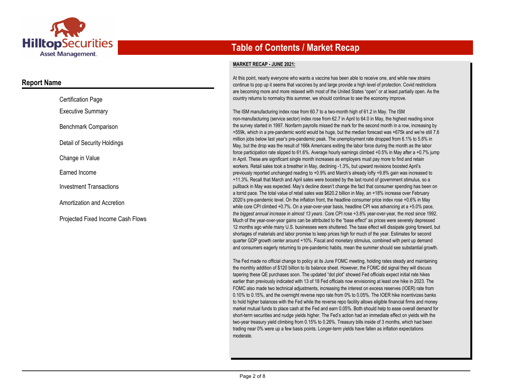

### **Report Name**

| <b>Certification Page</b>         |
|-----------------------------------|
| <b>Executive Summary</b>          |
| Benchmark Comparison              |
| Detail of Security Holdings       |
| Change in Value                   |
| Earned Income                     |
| <b>Investment Transactions</b>    |
| Amortization and Accretion        |
| Proiected Fixed Income Cash Flows |

## **Table of Contents / Market Recap**

#### **MARKET RECAP - JUNE 2021:**

At this point, nearly everyone who wants a vaccine has been able to receive one, and while new strains continue to pop up it seems that vaccines by and large provide a high level of protection. Covid restrictions are becoming more and more relaxed with most of the United States "open" or at least partially open. As the country returns to normalcy this summer, we should continue to see the economy improve.

The ISM manufacturing index rose from 60.7 to a two-month high of 61.2 in May. The ISM non-manufacturing (service sector) index rose from 62.7 in April to 64.0 in May, the highest reading since the survey started in 1997. Nonfarm payrolls missed the mark for the second month in a row, increasing by +559k, which in a pre-pandemic world would be huge, but the median forecast was +675k and we're still 7.6 million jobs below last year's pre-pandemic peak. The unemployment rate dropped from 6.1% to 5.8% in May, but the drop was the result of 166k Americans exiting the labor force during the month as the labor force participation rate slipped to 61.6%. Average hourly earnings climbed +0.5% in May after a +0.7% jump in April. These are significant single month increases as employers must pay more to find and retain workers. Retail sales took a breather in May, declining -1.3%, but upward revisions boosted April's previously reported unchanged reading to +0.9% and March's already lofty +9.8% gain was increased to +11.3%. Recall that March and April sales were boosted by the last round of government stimulus, so a pullback in May was expected. May's decline doesn't change the fact that consumer spending has been on a torrid pace. The total value of retail sales was \$620.2 billion in May, an +18% increase over February 2020's pre-pandemic level. On the inflation front, the headline consumer price index rose +0.6% in May while core CPI climbed +0.7%. On a year-over-year basis, headline CPI was advancing at a +5.0% pace, *the biggest annual increase in almost 13 years*. Core CPI rose +3.8% year-over-year, the most since 1992. Much of the year-over-year gains can be attributed to the "base effect" as prices were severely depressed 12 months ago while many U.S. businesses were shuttered. The base effect will dissipate going forward, but shortages of materials and labor promise to keep prices high for much of the year. Estimates for second quarter GDP growth center around +10%. Fiscal and monetary stimulus, combined with pent up demand and consumers eagerly returning to pre-pandemic habits, mean the summer should see substantial growth.

The Fed made no official change to policy at its June FOMC meeting, holding rates steady and maintaining the monthly addition of \$120 billion to its balance sheet. However, the FOMC did signal they will discuss tapering these QE purchases soon. The updated "dot plot" showed Fed officials expect initial rate hikes earlier than previously indicated with 13 of 18 Fed officials now envisioning at least one hike in 2023. The FOMC also made two technical adjustments, increasing the interest on excess reserves (IOER) rate from 0.10% to 0.15%, and the overnight reverse repo rate from 0% to 0.05%. The IOER hike incentivizes banks to hold higher balances with the Fed while the reverse repo facility allows eligible financial firms and money market mutual funds to place cash at the Fed and earn 0.05%. Both should help to ease overall demand for short-term securities and nudge yields higher. The Fed's action had an immediate effect on yields with the two-year treasury yield climbing from 0.15% to 0.26%. Treasury bills inside of 3 months, which had been trading near 0% were up a few basis points. Longer-term yields have fallen as inflation expectations moderate.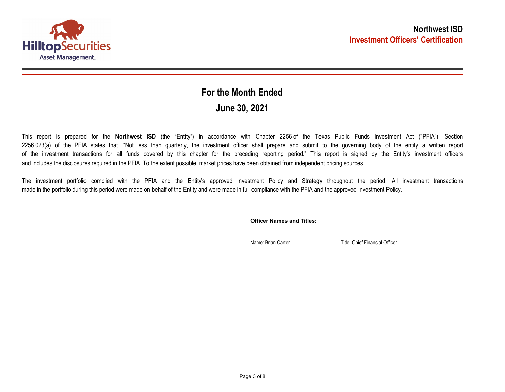

## **June 30, 2021 For the Month Ended**

This report is prepared for the **Northwest ISD** (the "Entity") in accordance with Chapter 2256 of the Texas Public Funds Investment Act ("PFIA"). Section 2256.023(a) of the PFIA states that: "Not less than quarterly, the investment officer shall prepare and submit to the governing body of the entity a written report of the investment transactions for all funds covered by this chapter for the preceding reporting period." This report is signed by the Entity's investment officers and includes the disclosures required in the PFIA. To the extent possible, market prices have been obtained from independent pricing sources.

The investment portfolio complied with the PFIA and the Entity's approved Investment Policy and Strategy throughout the period. All investment transactions made in the portfolio during this period were made on behalf of the Entity and were made in full compliance with the PFIA and the approved Investment Policy.

**Officer Names and Titles:**

Name: Brian Carter Title: Chief Financial Officer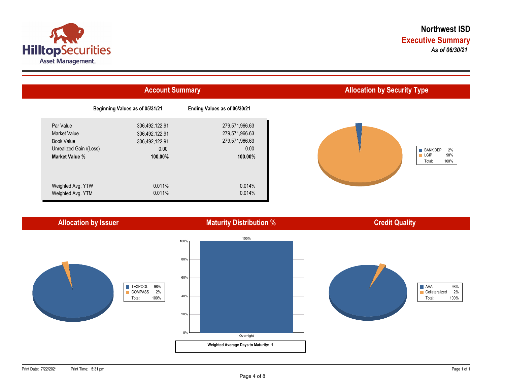



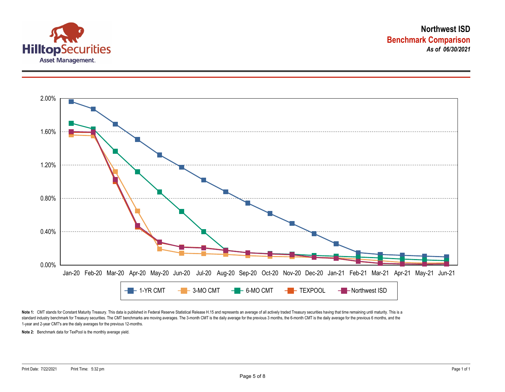



Note 1: CMT stands for Constant Maturity Treasury. This data is published in Federal Reserve Statistical Release H.15 and represents an average of all actively traded Treasury securities having that time remaining until ma standard industry benchmark for Treasury securities. The CMT benchmarks are moving averages. The 3-month CMT is the daily average for the previous 3 months, the 6-month CMT is the daily average for the previous 6 months, a 1-year and 2-year CMT's are the daily averages for the previous 12-months.

**Note 2:** Benchmark data for TexPool is the monthly average yield.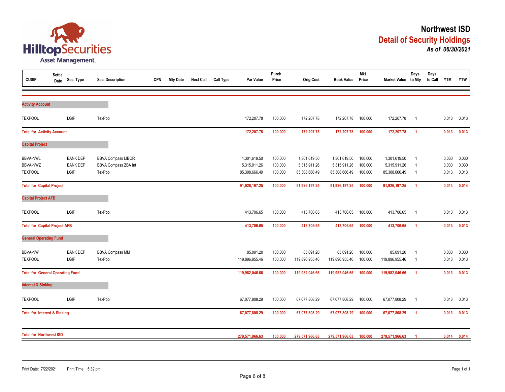

| <b>CUSIP</b>                                         | <b>Settle</b><br>Date | Sec. Type                                  | Sec. Description                                             | <b>CPN</b> | <b>Mty Date</b> | <b>Next Call</b> | <b>Call Type</b> | Par Value                                     | Purch<br>Price                | <b>Orig Cost</b>                              | <b>Book Value</b>                             | <b>Mkt</b><br>Price           | Market Value to Mty                           | Days                                               | Days<br>to Call YTM |                         | <b>YTW</b>              |
|------------------------------------------------------|-----------------------|--------------------------------------------|--------------------------------------------------------------|------------|-----------------|------------------|------------------|-----------------------------------------------|-------------------------------|-----------------------------------------------|-----------------------------------------------|-------------------------------|-----------------------------------------------|----------------------------------------------------|---------------------|-------------------------|-------------------------|
| <b>Activity Account</b>                              |                       |                                            |                                                              |            |                 |                  |                  |                                               |                               |                                               |                                               |                               |                                               |                                                    |                     |                         |                         |
| <b>TEXPOOL</b>                                       |                       | LGIP                                       | TexPool                                                      |            |                 |                  |                  | 172,207.78                                    | 100.000                       | 172,207.78                                    | 172,207.78                                    | 100.000                       | 172,207.78                                    | $\overline{1}$                                     |                     | 0.013                   | 0.013                   |
| <b>Total for Activity Account</b>                    |                       |                                            |                                                              |            |                 | 172,207.78       | 100.000          | 172,207.78                                    | 172,207.78                    | 100.000                                       | 172,207.78                                    | $\overline{1}$                |                                               | 0.013                                              | 0.013               |                         |                         |
| <b>Capital Project</b>                               |                       |                                            |                                                              |            |                 |                  |                  |                                               |                               |                                               |                                               |                               |                                               |                                                    |                     |                         |                         |
| <b>BBVA-NWL</b><br><b>BBVA-NWZ</b><br><b>TEXPOOL</b> |                       | <b>BANK DEP</b><br><b>BANK DEP</b><br>LGIP | <b>BBVA Compass LIBOR</b><br>BBVA Compass ZBA Int<br>TexPool |            |                 |                  |                  | 1,301,619.50<br>5,315,911.26<br>85,308,666.49 | 100.000<br>100.000<br>100.000 | 1,301,619.50<br>5,315,911.26<br>85,308,666.49 | 1,301,619.50<br>5,315,911.26<br>85,308,666.49 | 100.000<br>100.000<br>100.000 | 1,301,619.50<br>5,315,911.26<br>85,308,666.49 | $\overline{1}$<br>$\overline{1}$<br>$\overline{1}$ |                     | 0.030<br>0.030<br>0.013 | 0.030<br>0.030<br>0.013 |
| <b>Total for Capital Project</b>                     |                       |                                            |                                                              |            |                 |                  |                  | 91,926,197.25                                 | 100.000                       | 91,926,197.25                                 | 91,926,197.25                                 | 100.000                       | 91,926,197.25                                 | $\overline{1}$                                     |                     | 0.014                   | 0.014                   |
| <b>Capital Project AFB</b>                           |                       |                                            |                                                              |            |                 |                  |                  |                                               |                               |                                               |                                               |                               |                                               |                                                    |                     |                         |                         |
| <b>TEXPOOL</b>                                       |                       | LGIP                                       | <b>TexPool</b>                                               |            |                 |                  |                  | 413,706.65                                    | 100.000                       | 413,706.65                                    | 413,706.65                                    | 100.000                       | 413,706.65                                    | $\overline{1}$                                     |                     | 0.013                   | 0.013                   |
| <b>Total for Capital Project AFB</b>                 |                       |                                            |                                                              |            |                 |                  |                  | 413,706.65                                    | 100.000                       | 413,706.65                                    | 413,706.65                                    | 100.000                       | 413,706.65                                    | $\overline{1}$                                     |                     | 0.013                   | 0.013                   |
| <b>General Operating Fund</b>                        |                       |                                            |                                                              |            |                 |                  |                  |                                               |                               |                                               |                                               |                               |                                               |                                                    |                     |                         |                         |
| <b>BBVA-NW</b><br><b>TEXPOOL</b>                     |                       | <b>BANK DEP</b><br>LGIP                    | <b>BBVA Compass MM</b><br>TexPool                            |            |                 |                  |                  | 85,091.20<br>119,896,955.46                   | 100.000<br>100.000            | 85,091.20<br>119,896,955.46                   | 85,091.20<br>119,896,955.46                   | 100.000<br>100.000            | 85,091.20<br>119,896,955.46                   | $\overline{1}$<br>- 1                              |                     | 0.030<br>0.013          | 0.030<br>0.013          |
| <b>Total for General Operating Fund</b>              |                       |                                            |                                                              |            |                 |                  |                  | 119,982,046.66                                | 100.000                       | 119,982,046.66                                | 119,982,046.66                                | 100.000                       | 119,982,046.66                                | $\overline{1}$                                     |                     | 0.013                   | 0.013                   |
| <b>Interest &amp; Sinking</b>                        |                       |                                            |                                                              |            |                 |                  |                  |                                               |                               |                                               |                                               |                               |                                               |                                                    |                     |                         |                         |
| <b>TEXPOOL</b>                                       |                       | LGIP                                       | <b>TexPool</b>                                               |            |                 |                  |                  | 67,077,808.29                                 | 100.000                       | 67,077,808.29                                 | 67,077,808.29                                 | 100.000                       | 67,077,808.29                                 | $\overline{1}$                                     |                     | 0.013                   | 0.013                   |
| <b>Total for Interest &amp; Sinking</b>              |                       |                                            |                                                              |            |                 |                  |                  | 67,077,808.29                                 | 100.000                       | 67,077,808.29                                 | 67,077,808.29                                 | 100.000                       | 67,077,808.29                                 | $\overline{1}$                                     |                     | 0.013                   | 0.013                   |
| <b>Total for Northwest ISD</b>                       |                       |                                            |                                                              |            |                 | 279,571,966.63   | 100.000          | 279,571,966.63                                | 279,571,966.63                | 100.000                                       | 279,571,966.63                                |                               |                                               | 0.014                                              | 0.014               |                         |                         |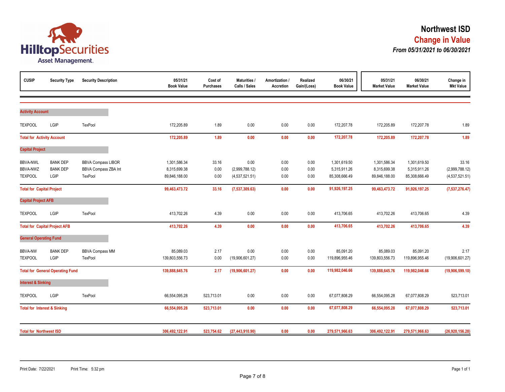

| <b>CUSIP</b>                            | <b>Security Type</b>                    | <b>Security Description</b>            | 05/31/21<br><b>Book Value</b> | Cost of<br><b>Purchases</b> | Maturities<br>Calls / Sales      | Amortization /<br><b>Accretion</b> | Realized<br>Gain/(Loss) | 06/30/21<br><b>Book Value</b> | 05/31/21<br><b>Market Value</b> | 06/30/21<br><b>Market Value</b> | Change in<br><b>Mkt Value</b>    |
|-----------------------------------------|-----------------------------------------|----------------------------------------|-------------------------------|-----------------------------|----------------------------------|------------------------------------|-------------------------|-------------------------------|---------------------------------|---------------------------------|----------------------------------|
|                                         |                                         |                                        |                               |                             |                                  |                                    |                         |                               |                                 |                                 |                                  |
| <b>Activity Account</b>                 |                                         |                                        |                               |                             |                                  |                                    |                         |                               |                                 |                                 |                                  |
| <b>TEXPOOL</b>                          | LGIP                                    | TexPool                                | 172,205.89                    | 1.89                        | 0.00                             | 0.00                               | 0.00                    | 172,207.78                    | 172,205.89                      | 172,207.78                      | 1.89                             |
| <b>Total for Activity Account</b>       |                                         |                                        | 172,205.89                    | 1.89                        | 0.00                             | 0.00                               | 0.00                    | 172,207.78                    | 172,205.89                      | 172,207.78                      | 1.89                             |
| <b>Capital Project</b>                  |                                         |                                        |                               |                             |                                  |                                    |                         |                               |                                 |                                 |                                  |
| <b>BBVA-NWL</b>                         | <b>BANK DEP</b>                         | <b>BBVA Compass LIBOR</b>              | 1,301,586.34                  | 33.16                       | 0.00                             | 0.00                               | 0.00                    | 1,301,619.50                  | 1,301,586.34                    | 1,301,619.50                    | 33.16                            |
| BBVA-NWZ<br><b>TEXPOOL</b>              | <b>BANK DEP</b><br>LGIP                 | <b>BBVA Compass ZBA Int</b><br>TexPool | 8,315,699.38<br>89,846,188.00 | 0.00<br>0.00                | (2,999,788.12)<br>(4,537,521.51) | 0.00<br>0.00                       | 0.00<br>0.00            | 5,315,911.26<br>85,308,666.49 | 8,315,699.38<br>89,846,188.00   | 5,315,911.26<br>85,308,666.49   | (2,999,788.12)<br>(4,537,521.51) |
| <b>Total for Capital Project</b>        |                                         |                                        | 99,463,473.72                 | 33.16                       | (7,537,309.63)                   | 0.00                               | 0.00                    | 91,926,197.25                 | 99,463,473.72                   | 91,926,197.25                   | (7,537,276.47)                   |
| <b>Capital Project AFB</b>              |                                         |                                        |                               |                             |                                  |                                    |                         |                               |                                 |                                 |                                  |
| <b>TEXPOOL</b>                          | LGIP                                    | TexPool                                | 413,702.26                    | 4.39                        | 0.00                             | 0.00                               | 0.00                    | 413,706.65                    | 413,702.26                      | 413,706.65                      | 4.39                             |
|                                         | <b>Total for Capital Project AFB</b>    |                                        | 413,702.26                    | 4.39                        | 0.00                             | 0.00                               | 0.00                    | 413,706.65                    | 413,702.26                      | 413,706.65                      | 4.39                             |
| <b>General Operating Fund</b>           |                                         |                                        |                               |                             |                                  |                                    |                         |                               |                                 |                                 |                                  |
| <b>BBVA-NW</b>                          | <b>BANK DEP</b>                         | <b>BBVA Compass MM</b>                 | 85,089.03                     | 2.17                        | 0.00                             | 0.00                               | 0.00                    | 85,091.20                     | 85,089.03                       | 85,091.20                       | 2.17                             |
| <b>TEXPOOL</b>                          | LGIP                                    | TexPool                                | 139,803,556.73                | 0.00                        | (19,906,601.27)                  | 0.00                               | 0.00                    | 119,896,955.46                | 139,803,556.73                  | 119,896,955.46                  | (19,906,601.27)                  |
|                                         | <b>Total for General Operating Fund</b> |                                        | 139,888,645.76                | 2.17                        | (19,906,601.27)                  | 0.00                               | 0.00                    | 119,982,046.66                | 139,888,645.76                  | 119,982,046.66                  | (19,906,599.10)                  |
| <b>Interest &amp; Sinking</b>           |                                         |                                        |                               |                             |                                  |                                    |                         |                               |                                 |                                 |                                  |
| <b>TEXPOOL</b>                          | LGIP                                    | TexPool                                | 66,554,095.28                 | 523,713.01                  | 0.00                             | 0.00                               | 0.00                    | 67,077,808.29                 | 66,554,095.28                   | 67,077,808.29                   | 523,713.01                       |
| <b>Total for Interest &amp; Sinking</b> |                                         |                                        | 66,554,095.28                 | 523,713.01                  | 0.00                             | 0.00                               | 0.00                    | 67,077,808.29                 | 66,554,095.28                   | 67,077,808.29                   | 523,713.01                       |
| <b>Total for Northwest ISD</b>          |                                         |                                        | 306,492,122.91                | 523,754.62                  | (27, 443, 910.90)                | 0.00                               | 0.00                    | 279,571,966.63                | 306,492,122.91                  | 279,571,966.63                  | (26,920,156.28)                  |